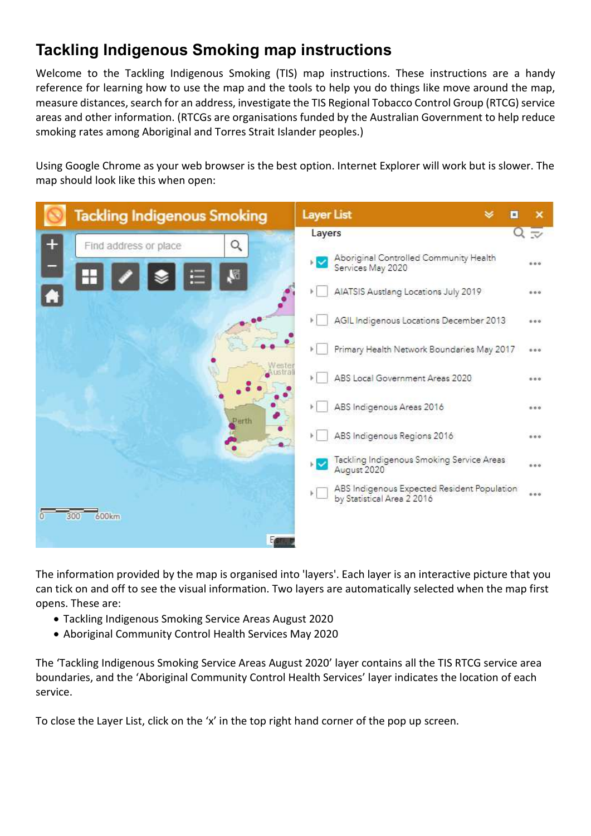## Tackling Indigenous Smoking map instructions

Welcome to the Tackling Indigenous Smoking (TIS) map instructions. These instructions are a handy reference for learning how to use the map and the tools to help you do things like move around the map, measure distances, search for an address, investigate the TIS Regional Tobacco Control Group (RTCG) service areas and other information. (RTCGs are organisations funded by the Australian Government to help reduce smoking rates among Aboriginal and Torres Strait Islander peoples.)

Using Google Chrome as your web browser is the best option. Internet Explorer will work but is slower. The map should look like this when open:



The information provided by the map is organised into 'layers'. Each layer is an interactive picture that you can tick on and off to see the visual information. Two layers are automatically selected when the map first opens. These are:

- Tackling Indigenous Smoking Service Areas August 2020
- Aboriginal Community Control Health Services May 2020

The 'Tackling Indigenous Smoking Service Areas August 2020' layer contains all the TIS RTCG service area boundaries, and the 'Aboriginal Community Control Health Services' layer indicates the location of each service.

To close the Layer List, click on the 'x' in the top right hand corner of the pop up screen.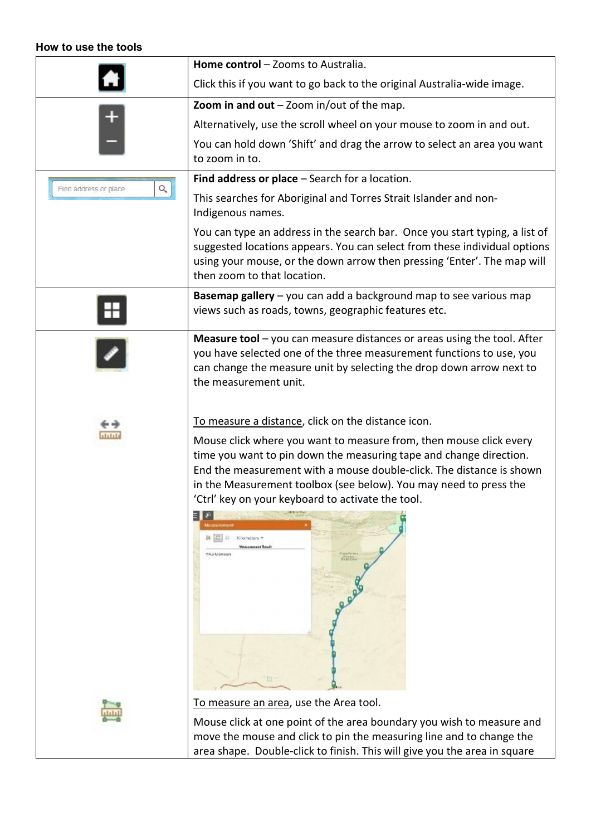## How to use the tools

|                                   | Home control - Zooms to Australia.                                                                                                                                                                                                                                                                                                                                                                                    |
|-----------------------------------|-----------------------------------------------------------------------------------------------------------------------------------------------------------------------------------------------------------------------------------------------------------------------------------------------------------------------------------------------------------------------------------------------------------------------|
|                                   | Click this if you want to go back to the original Australia-wide image.                                                                                                                                                                                                                                                                                                                                               |
|                                   | Zoom in and out $-$ Zoom in/out of the map.                                                                                                                                                                                                                                                                                                                                                                           |
|                                   | Alternatively, use the scroll wheel on your mouse to zoom in and out.                                                                                                                                                                                                                                                                                                                                                 |
|                                   | You can hold down 'Shift' and drag the arrow to select an area you want<br>to zoom in to.                                                                                                                                                                                                                                                                                                                             |
|                                   | Find address or place $-$ Search for a location.                                                                                                                                                                                                                                                                                                                                                                      |
| $\alpha$<br>Find address or place | This searches for Aboriginal and Torres Strait Islander and non-<br>Indigenous names.                                                                                                                                                                                                                                                                                                                                 |
|                                   | You can type an address in the search bar. Once you start typing, a list of<br>suggested locations appears. You can select from these individual options<br>using your mouse, or the down arrow then pressing 'Enter'. The map will<br>then zoom to that location.                                                                                                                                                    |
|                                   | Basemap gallery - you can add a background map to see various map<br>views such as roads, towns, geographic features etc.                                                                                                                                                                                                                                                                                             |
|                                   | <b>Measure tool</b> $-$ you can measure distances or areas using the tool. After<br>you have selected one of the three measurement functions to use, you<br>can change the measure unit by selecting the drop down arrow next to<br>the measurement unit.                                                                                                                                                             |
|                                   | To measure a distance, click on the distance icon.                                                                                                                                                                                                                                                                                                                                                                    |
| بلياتها                           | Mouse click where you want to measure from, then mouse click every<br>time you want to pin down the measuring tape and change direction.<br>End the measurement with a mouse double-click. The distance is shown<br>in the Measurement toolbox (see below). You may need to press the<br>'Ctrl' key on your keyboard to activate the tool.<br>Kilometers =<br>Manuscription Road<br>15% a Nigeration<br><b>RATION</b> |
|                                   | To measure an area, use the Area tool.                                                                                                                                                                                                                                                                                                                                                                                |
|                                   | Mouse click at one point of the area boundary you wish to measure and<br>move the mouse and slick to nin the measuring line and to shange the                                                                                                                                                                                                                                                                         |

move the mouse and click to pin the measuring line and to change the area shape. Double-click to finish. This will give you the area in square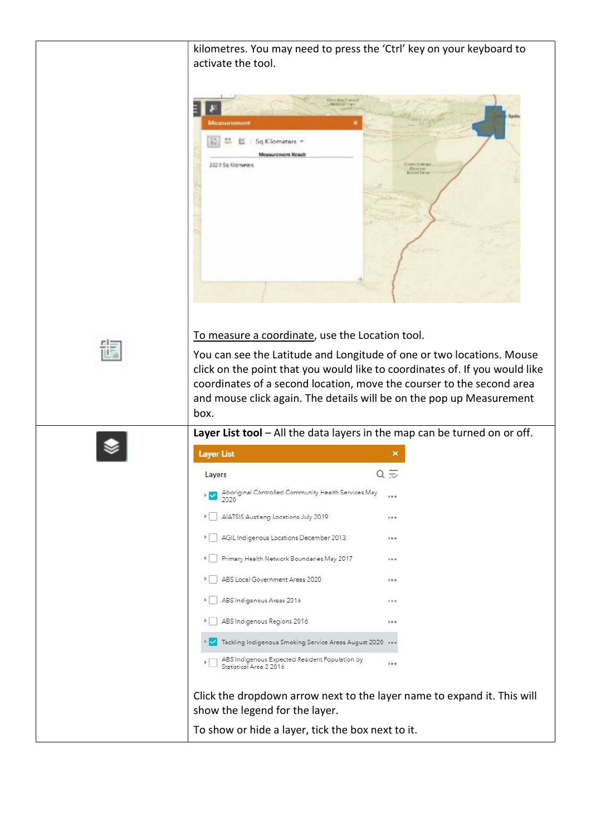| kilometres. You may need to press the 'Ctrl' key on your keyboard to<br>activate the tool.                                                                                                                                                                                                                                                                       |
|------------------------------------------------------------------------------------------------------------------------------------------------------------------------------------------------------------------------------------------------------------------------------------------------------------------------------------------------------------------|
| World Mar Towns<br><b>BEGG HALLY CALL</b><br>uremoni<br>Sq Kilometers<br>Mossurement Result<br>332.9 Sq Kilometers<br><b>June + Illo Hver</b><br><b>County</b>                                                                                                                                                                                                   |
| To measure a coordinate, use the Location tool.<br>You can see the Latitude and Longitude of one or two locations. Mouse<br>click on the point that you would like to coordinates of. If you would like<br>coordinates of a second location, move the courser to the second area<br>and mouse click again. The details will be on the pop up Measurement<br>box. |
| Layer List tool - All the data layers in the map can be turned on or off.<br><b>Layer List</b>                                                                                                                                                                                                                                                                   |
| $Q \nightharpoondown$<br>Layers                                                                                                                                                                                                                                                                                                                                  |
| Aboriginal Controlled Community Health Services May<br>2020                                                                                                                                                                                                                                                                                                      |
| AIATSIS Austlang Locations July 2019<br>F.<br>0.0.8                                                                                                                                                                                                                                                                                                              |
| AGIL Indigenous Locations December 2013<br>F.<br>0.0.8                                                                                                                                                                                                                                                                                                           |
| Primary Health Network Boundaries May 2017<br>0.0.8                                                                                                                                                                                                                                                                                                              |
| ABS Local Government Areas 2020<br>0.0.8                                                                                                                                                                                                                                                                                                                         |
| ABS Indigenous Areas 2016<br>0.0.8                                                                                                                                                                                                                                                                                                                               |
| ABS Indigenous Regions 2016<br>0.0.8                                                                                                                                                                                                                                                                                                                             |
| V Tackling Indigenous Smoking Service Areas August 2020                                                                                                                                                                                                                                                                                                          |
| ABS Indigenous Expected Resident Population by<br>0.0.8<br>Statistical Area 2 2016                                                                                                                                                                                                                                                                               |
|                                                                                                                                                                                                                                                                                                                                                                  |
| Click the dropdown arrow next to the layer name to expand it. This will<br>show the legend for the layer.                                                                                                                                                                                                                                                        |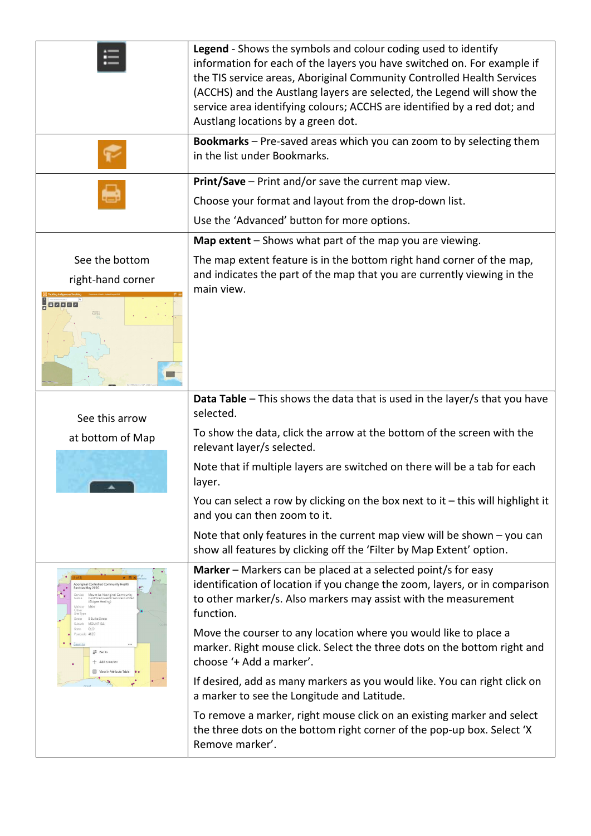|                                                                                                                                                                                           | Legend - Shows the symbols and colour coding used to identify<br>information for each of the layers you have switched on. For example if<br>the TIS service areas, Aboriginal Community Controlled Health Services<br>(ACCHS) and the Austlang layers are selected, the Legend will show the<br>service area identifying colours; ACCHS are identified by a red dot; and<br>Austlang locations by a green dot. |
|-------------------------------------------------------------------------------------------------------------------------------------------------------------------------------------------|----------------------------------------------------------------------------------------------------------------------------------------------------------------------------------------------------------------------------------------------------------------------------------------------------------------------------------------------------------------------------------------------------------------|
|                                                                                                                                                                                           | Bookmarks - Pre-saved areas which you can zoom to by selecting them<br>in the list under Bookmarks.                                                                                                                                                                                                                                                                                                            |
|                                                                                                                                                                                           | Print/Save - Print and/or save the current map view.                                                                                                                                                                                                                                                                                                                                                           |
|                                                                                                                                                                                           | Choose your format and layout from the drop-down list.                                                                                                                                                                                                                                                                                                                                                         |
|                                                                                                                                                                                           | Use the 'Advanced' button for more options.                                                                                                                                                                                                                                                                                                                                                                    |
|                                                                                                                                                                                           | Map extent - Shows what part of the map you are viewing.                                                                                                                                                                                                                                                                                                                                                       |
| See the bottom                                                                                                                                                                            | The map extent feature is in the bottom right hand corner of the map,                                                                                                                                                                                                                                                                                                                                          |
| right-hand corner                                                                                                                                                                         | and indicates the part of the map that you are currently viewing in the<br>main view.                                                                                                                                                                                                                                                                                                                          |
| <b>H</b> ozgeo                                                                                                                                                                            |                                                                                                                                                                                                                                                                                                                                                                                                                |
| See this arrow                                                                                                                                                                            | Data Table - This shows the data that is used in the layer/s that you have<br>selected.                                                                                                                                                                                                                                                                                                                        |
| at bottom of Map                                                                                                                                                                          | To show the data, click the arrow at the bottom of the screen with the<br>relevant layer/s selected.                                                                                                                                                                                                                                                                                                           |
|                                                                                                                                                                                           | Note that if multiple layers are switched on there will be a tab for each<br>layer.                                                                                                                                                                                                                                                                                                                            |
|                                                                                                                                                                                           | You can select a row by clicking on the box next to it $-$ this will highlight it<br>and you can then zoom to it.                                                                                                                                                                                                                                                                                              |
|                                                                                                                                                                                           | Note that only features in the current map view will be shown $-$ you can<br>show all features by clicking off the 'Filter by Map Extent' option.                                                                                                                                                                                                                                                              |
| Aboriginal Controlled Community Healti<br>Services May 2020<br>Mount Isa Aboriginal Commun<br>Controlled Health Services Lim<br>(Gidgee Healing)<br>Site Type<br>Street<br>8 Burke Street | Marker - Markers can be placed at a selected point/s for easy<br>identification of location if you change the zoom, layers, or in comparison<br>to other marker/s. Also markers may assist with the measurement<br>function.                                                                                                                                                                                   |
| Suburb MOUNT ISA<br>State QLD<br>Postcode 4825<br>Zoom to<br><sub>a</sub> <sup>€</sup> Pan to<br>+ Add a marker<br>屇<br>View in Attribute Table                                           | Move the courser to any location where you would like to place a<br>marker. Right mouse click. Select the three dots on the bottom right and<br>choose '+ Add a marker'.                                                                                                                                                                                                                                       |
|                                                                                                                                                                                           | If desired, add as many markers as you would like. You can right click on<br>a marker to see the Longitude and Latitude.                                                                                                                                                                                                                                                                                       |
|                                                                                                                                                                                           | To remove a marker, right mouse click on an existing marker and select<br>the three dots on the bottom right corner of the pop-up box. Select 'X<br>Remove marker'.                                                                                                                                                                                                                                            |